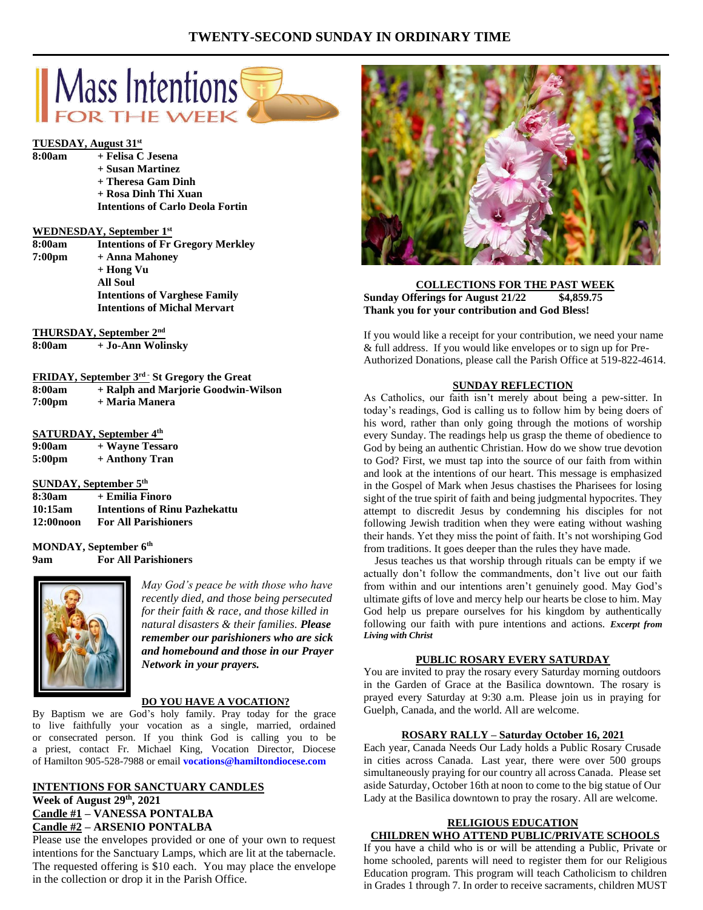# **TWENTY-SECOND SUNDAY IN ORDINARY TIME**



### **TUESDAY, August 31st**

**8:00am + Felisa C Jesena**

| + Felisa C Jesena                       |
|-----------------------------------------|
| + Susan Martinez                        |
| + Theresa Gam Dinh                      |
| + Rosa Dinh Thi Xuan                    |
| <b>Intentions of Carlo Deola Fortin</b> |

#### **WEDNESDAY, September 1st**

| 8:00am             | <b>Intentions of Fr Gregory Merkley</b> |
|--------------------|-----------------------------------------|
| 7:00 <sub>pm</sub> | + Anna Mahoney                          |
|                    | + Hong Vu                               |
|                    | <b>All Soul</b>                         |
|                    | <b>Intentions of Varghese Family</b>    |
|                    | <b>Intentions of Michal Mervart</b>     |
|                    |                                         |

**THURSDAY, September 2nd**

**8:00am + Jo-Ann Wolinsky**

|                    | <b>FRIDAY, September 3rd · St Gregory the Great</b> |
|--------------------|-----------------------------------------------------|
| 8:00am             | + Ralph and Marjorie Goodwin-Wilson                 |
| 7:00 <sub>pm</sub> | + Maria Manera                                      |

### **SATURDAY, September 4th**

| 9:00am | + Wayne Tessaro |
|--------|-----------------|
| 5:00pm | + Anthony Tran  |

### **SUNDAY, September 5th**

| 8:30am       | + Emilia Finoro                      |
|--------------|--------------------------------------|
| 10:15am      | <b>Intentions of Rinu Pazhekattu</b> |
| $12:00$ noon | <b>For All Parishioners</b>          |

**MONDAY, September 6th 9am For All Parishioners**



*May God's peace be with those who have recently died, and those being persecuted for their faith & race, and those killed in natural disasters & their families. Please remember our parishioners who are sick and homebound and those in our Prayer Network in your prayers.*

### **DO YOU HAVE A VOCATION?**

By Baptism we are God's holy family. Pray today for the grace to live faithfully your vocation as a single, married, ordained or consecrated person. If you think God is calling you to be a priest, contact Fr. Michael King, Vocation Director, Diocese of Hamilton 905-528-7988 or email **vocations@hamiltondiocese.com** 

# **INTENTIONS FOR SANCTUARY CANDLES**

**Week of August 29th, 2021 Candle #1 – VANESSA PONTALBA Candle #2 – ARSENIO PONTALBA**

Please use the envelopes provided or one of your own to request intentions for the Sanctuary Lamps, which are lit at the tabernacle. The requested offering is \$10 each. You may place the envelope in the collection or drop it in the Parish Office.



### **COLLECTIONS FOR THE PAST WEEK Sunday Offerings for August 21/22 \$4,859.75 Thank you for your contribution and God Bless!**

If you would like a receipt for your contribution, we need your name & full address. If you would like envelopes or to sign up for Pre-Authorized Donations, please call the Parish Office at 519-822-4614.

### **SUNDAY REFLECTION**

As Catholics, our faith isn't merely about being a pew-sitter. In today's readings, God is calling us to follow him by being doers of his word, rather than only going through the motions of worship every Sunday. The readings help us grasp the theme of obedience to God by being an authentic Christian. How do we show true devotion to God? First, we must tap into the source of our faith from within and look at the intentions of our heart. This message is emphasized in the Gospel of Mark when Jesus chastises the Pharisees for losing sight of the true spirit of faith and being judgmental hypocrites. They attempt to discredit Jesus by condemning his disciples for not following Jewish tradition when they were eating without washing their hands. Yet they miss the point of faith. It's not worshiping God from traditions. It goes deeper than the rules they have made.

 Jesus teaches us that worship through rituals can be empty if we actually don't follow the commandments, don't live out our faith from within and our intentions aren't genuinely good. May God's ultimate gifts of love and mercy help our hearts be close to him. May God help us prepare ourselves for his kingdom by authentically following our faith with pure intentions and actions. *Excerpt from Living with Christ*

### **PUBLIC ROSARY EVERY SATURDAY**

You are invited to pray the rosary every Saturday morning outdoors in the Garden of Grace at the Basilica downtown. The rosary is prayed every Saturday at 9:30 a.m. Please join us in praying for Guelph, Canada, and the world. All are welcome.

### **ROSARY RALLY – Saturday October 16, 2021**

Each year, Canada Needs Our Lady holds a Public Rosary Crusade in cities across Canada. Last year, there were over 500 groups simultaneously praying for our country all across Canada. Please set aside Saturday, October 16th at noon to come to the big statue of Our Lady at the Basilica downtown to pray the rosary. All are welcome.

# **RELIGIOUS EDUCATION**

**CHILDREN WHO ATTEND PUBLIC/PRIVATE SCHOOLS** If you have a child who is or will be attending a Public, Private or home schooled, parents will need to register them for our Religious Education program. This program will teach Catholicism to children in Grades 1 through 7. In order to receive sacraments, children MUST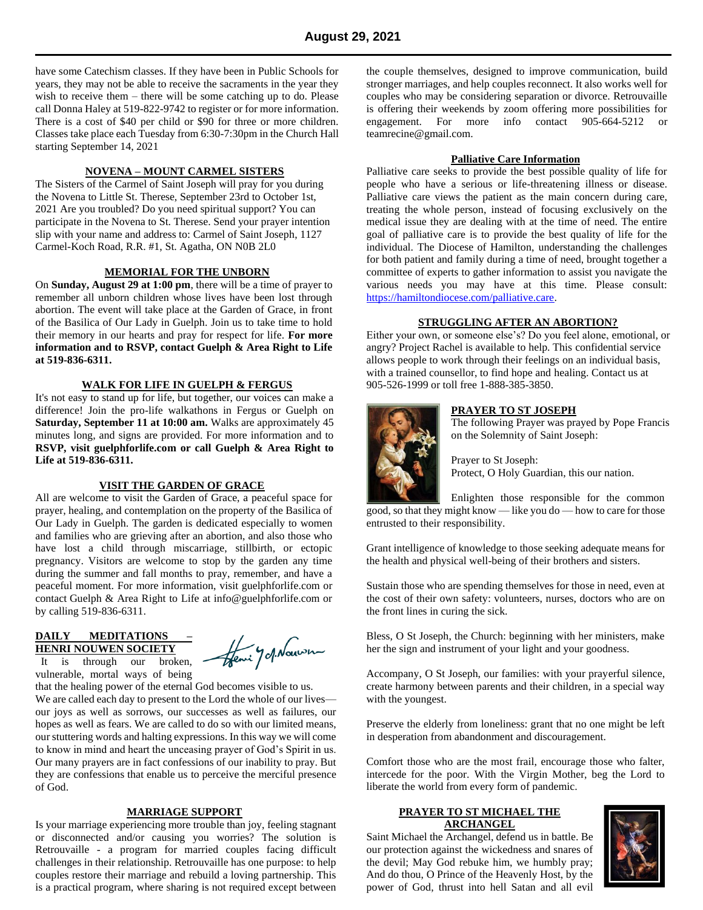have some Catechism classes. If they have been in Public Schools for years, they may not be able to receive the sacraments in the year they wish to receive them – there will be some catching up to do. Please call Donna Haley at 519-822-9742 to register or for more information. There is a cost of \$40 per child or \$90 for three or more children. Classes take place each Tuesday from 6:30-7:30pm in the Church Hall starting September 14, 2021

# **NOVENA – MOUNT CARMEL SISTERS**

The Sisters of the Carmel of Saint Joseph will pray for you during the Novena to Little St. Therese, September 23rd to October 1st, 2021 Are you troubled? Do you need spiritual support? You can participate in the Novena to St. Therese. Send your prayer intention slip with your name and address to: Carmel of Saint Joseph, 1127 Carmel-Koch Road, R.R. #1, St. Agatha, ON N0B 2L0

# **MEMORIAL FOR THE UNBORN**

On **Sunday, August 29 at 1:00 pm**, there will be a time of prayer to remember all unborn children whose lives have been lost through abortion. The event will take place at the Garden of Grace, in front of the Basilica of Our Lady in Guelph. Join us to take time to hold their memory in our hearts and pray for respect for life. **For more information and to RSVP, contact Guelph & Area Right to Life at 519-836-6311.**

#### **WALK FOR LIFE IN GUELPH & FERGUS**

It's not easy to stand up for life, but together, our voices can make a difference! Join the pro-life walkathons in Fergus or Guelph on **Saturday, September 11 at 10:00 am.** Walks are approximately 45 minutes long, and signs are provided. For more information and to **RSVP, visit guelphforlife.com or call Guelph & Area Right to Life at 519-836-6311.**

### **VISIT THE GARDEN OF GRACE**

All are welcome to visit the Garden of Grace, a peaceful space for prayer, healing, and contemplation on the property of the Basilica of Our Lady in Guelph. The garden is dedicated especially to women and families who are grieving after an abortion, and also those who have lost a child through miscarriage, stillbirth, or ectopic pregnancy. Visitors are welcome to stop by the garden any time during the summer and fall months to pray, remember, and have a peaceful moment. For more information, visit guelphforlife.com or contact Guelph & Area Right to Life at info@guelphforlife.com or by calling 519-836-6311.

### **DAILY MEDITATIONS – HENRI NOUWEN SOCIETY**

 It is through our broken, vulnerable, mortal ways of being

that the healing power of the eternal God becomes visible to us. We are called each day to present to the Lord the whole of our lives our joys as well as sorrows, our successes as well as failures, our hopes as well as fears. We are called to do so with our limited means, our stuttering words and halting expressions. In this way we will come to know in mind and heart the unceasing prayer of God's Spirit in us. Our many prayers are in fact confessions of our inability to pray. But they are confessions that enable us to perceive the merciful presence of God.

### **MARRIAGE SUPPORT**

Is your marriage experiencing more trouble than joy, feeling stagnant or disconnected and/or causing you worries? The solution is Retrouvaille - a program for married couples facing difficult challenges in their relationship. Retrouvaille has one purpose: to help couples restore their marriage and rebuild a loving partnership. This is a practical program, where sharing is not required except between

the couple themselves, designed to improve communication, build stronger marriages, and help couples reconnect. It also works well for couples who may be considering separation or divorce. Retrouvaille is offering their weekends by zoom offering more possibilities for engagement. For more info contact 905-664-5212 or teamrecine@gmail.com.

# **Palliative Care Information**

Palliative care seeks to provide the best possible quality of life for people who have a serious or life-threatening illness or disease. Palliative care views the patient as the main concern during care, treating the whole person, instead of focusing exclusively on the medical issue they are dealing with at the time of need. The entire goal of palliative care is to provide the best quality of life for the individual. The Diocese of Hamilton, understanding the challenges for both patient and family during a time of need, brought together a committee of experts to gather information to assist you navigate the various needs you may have at this time. Please consult: [https://hamiltondiocese.com/palliative.care.](https://hamiltondiocese.com/palliative.care)

### **STRUGGLING AFTER AN ABORTION?**

Either your own, or someone else's? Do you feel alone, emotional, or angry? Project Rachel is available to help. This confidential service allows people to work through their feelings on an individual basis, with a trained counsellor, to find hope and healing. Contact us at 905-526-1999 or toll free 1-888-385-3850.



# **PRAYER TO ST JOSEPH**

The following Prayer was prayed by Pope Francis on the Solemnity of Saint Joseph:

Prayer to St Joseph: Protect, O Holy Guardian, this our nation.

Enlighten those responsible for the common good, so that they might know — like you do — how to care for those entrusted to their responsibility.

Grant intelligence of knowledge to those seeking adequate means for the health and physical well-being of their brothers and sisters.

Sustain those who are spending themselves for those in need, even at the cost of their own safety: volunteers, nurses, doctors who are on the front lines in curing the sick.

Bless, O St Joseph, the Church: beginning with her ministers, make her the sign and instrument of your light and your goodness.

Accompany, O St Joseph, our families: with your prayerful silence, create harmony between parents and their children, in a special way with the youngest.

Preserve the elderly from loneliness: grant that no one might be left in desperation from abandonment and discouragement.

Comfort those who are the most frail, encourage those who falter, intercede for the poor. With the Virgin Mother, beg the Lord to liberate the world from every form of pandemic.

### **PRAYER TO ST MICHAEL THE ARCHANGEL**

Saint Michael the Archangel, defend us in battle. Be our protection against the wickedness and snares of the devil; May God rebuke him, we humbly pray; And do thou, O Prince of the Heavenly Host, by the power of God, thrust into hell Satan and all evil